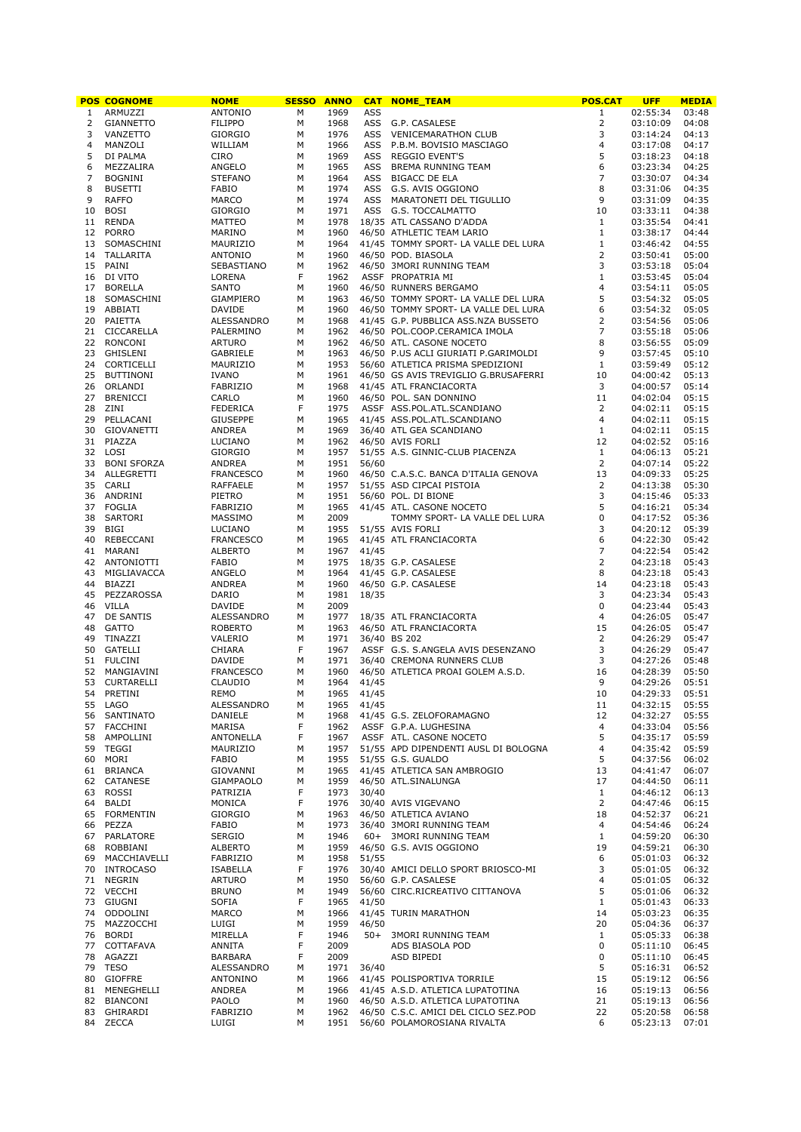|                | <b>POS COGNOME</b>           | <b>NOME</b>      | <b>SESSO ANNO</b> |            |       | <b>NOME_TEATS.</b><br>G.P. CASALESE<br>S VENICEMARATHON CLUB<br>S P.B.M. BOVISIO MASCIAGO<br>S REGGIO EVENT'S<br>S BREMA RUNNING TEAM<br>ASS BIGACC DE ELA<br>ASS G.S. AVIS OGGIONO<br>ASS MARATONETI DEL TIGULLIO<br>ASS G.S. TOCCALMATTO<br>ATI. CASS | <b>POS.CAT</b> | <b>UFF</b> | <b>MEDIA</b> |
|----------------|------------------------------|------------------|-------------------|------------|-------|---------------------------------------------------------------------------------------------------------------------------------------------------------------------------------------------------------------------------------------------------------|----------------|------------|--------------|
| $\mathbf{1}$   | ARMUZZI                      | ANTONIO          | м                 | 1969       |       |                                                                                                                                                                                                                                                         |                | 02:55:34   | 03:48        |
| 2              | <b>GIANNETTO</b>             | <b>FILIPPO</b>   | М                 | 1968       |       |                                                                                                                                                                                                                                                         |                | 03:10:09   | 04:08        |
| 3              | VANZETTO                     | <b>GIORGIO</b>   | М                 | 1976       |       |                                                                                                                                                                                                                                                         |                | 03:14:24   | 04:13        |
| $\overline{4}$ | MANZOLI                      | WILLIAM          | м                 | 1966       |       |                                                                                                                                                                                                                                                         |                | 03:17:08   | 04:17        |
| 5              | DI PALMA                     | <b>CIRO</b>      | M                 | 1969       |       |                                                                                                                                                                                                                                                         |                | 03:18:23   | 04:18        |
| 6              | MEZZALIRA                    | ANGELO           | M                 | 1965       |       |                                                                                                                                                                                                                                                         |                | 03:23:34   | 04:25        |
| 7              | <b>BOGNINI</b>               | <b>STEFANO</b>   | М                 | 1964       |       |                                                                                                                                                                                                                                                         |                | 03:30:07   | 04:34        |
| 8              | <b>BUSETTI</b>               | <b>FABIO</b>     | M                 | 1974       |       |                                                                                                                                                                                                                                                         |                | 03:31:06   | 04:35        |
| 9              | <b>RAFFO</b>                 | MARCO            | M                 | 1974       |       |                                                                                                                                                                                                                                                         |                | 03:31:09   | 04:35        |
| 10             | BOSI                         | GIORGIO          | М                 | 1971       |       |                                                                                                                                                                                                                                                         |                | 03:33:11   | 04:38        |
| 11             | RENDA                        | MATTEO           | M                 | 1978       |       |                                                                                                                                                                                                                                                         |                | 03:35:54   | 04:41        |
| 12             | PORRO                        | MARINO           | М                 | 1960       |       |                                                                                                                                                                                                                                                         |                | 03:38:17   | 04:44        |
| 13             | SOMASCHINI                   | MAURIZIO         | М                 | 1964       |       |                                                                                                                                                                                                                                                         |                | 03:46:42   | 04:55        |
|                | 14 TALLARITA                 | ANTONIO          | М                 | 1960       |       | 46/50 POD. BIASOLA                                                                                                                                                                                                                                      | $\overline{2}$ | 03:50:41   | 05:00        |
|                | 15 PAINI                     | SEBASTIANO       | M                 |            |       | 1962 46/50 3MORI RUNNING TEAM                                                                                                                                                                                                                           | 3              | 03:53:18   | 05:04        |
|                | 16 DI VITO                   | LORENA           | F                 | 1962       |       | ASSF PROPATRIA MI                                                                                                                                                                                                                                       | $\mathbf{1}$   | 03:53:45   | 05:04        |
|                | 17 BORELLA                   | <b>SANTO</b>     | М                 | 1960       |       | 46/50 RUNNERS BERGAMO                                                                                                                                                                                                                                   | $\overline{4}$ | 03:54:11   | 05:05        |
|                | 18 SOMASCHINI                | GIAMPIERO        | М                 | 1963       |       | 46/50 TOMMY SPORT- LA VALLE DEL LURA                                                                                                                                                                                                                    | 5              | 03:54:32   | 05:05        |
|                | 19 ABBIATI                   | DAVIDE           | M                 |            |       | 1960 46/50 TOMMY SPORT- LA VALLE DEL LURA                                                                                                                                                                                                               | 6              | 03:54:32   | 05:05        |
|                | 20 PAIETTA                   |                  | М                 |            |       | 1968 41/45 G.P. PUBBLICA ASS.NZA BUSSETO                                                                                                                                                                                                                | $\overline{2}$ | 03:54:56   | 05:06        |
|                |                              | ALESSANDRO       |                   |            |       |                                                                                                                                                                                                                                                         | $\overline{7}$ |            |              |
|                | 21 CICCARELLA                | PALERMINO        | М                 |            |       | 1962 46/50 POL.COOP.CERAMICA IMOLA                                                                                                                                                                                                                      |                | 03:55:18   | 05:06        |
|                | 22 RONCONI                   | <b>ARTURO</b>    | м                 |            |       | 1962 46/50 ATL. CASONE NOCETO                                                                                                                                                                                                                           | 8              | 03:56:55   | 05:09        |
|                | 23 GHISLENI                  | GABRIELE         | M                 |            |       | 1963 46/50 P.US ACLI GIURIATI P.GARIMOLDI                                                                                                                                                                                                               | 9              | 03:57:45   | 05:10        |
|                | 24 CORTICELLI                | MAURIZIO         | М                 | 1953       |       | 56/60 ATLETICA PRISMA SPEDIZIONI                                                                                                                                                                                                                        | $\mathbf{1}$   | 03:59:49   | 05:12        |
|                | 25 BUTTINONI                 | <b>IVANO</b>     | M                 | 1961       |       | 46/50 GS AVIS TREVIGLIO G.BRUSAFERRI                                                                                                                                                                                                                    | 10             | 04:00:42   | 05:13        |
|                | 26 ORLANDI                   | FABRIZIO         | м                 | 1968       |       | SCANDIANO<br>CLATL.SCANDIANO<br>46/50 AVIS FORLI<br>51/55 A.S. GINNIC-CLUB PIACENZA<br>56/60<br>16/50 C.A.S.C. BANCA D'ITALIA GENOVA<br>1/55 ASD CIPCAI PISTOIA<br>1/60 POL. DI BIONE<br>45 ATL. CASO <sup>NF</sup>                                     | 3              | 04:00:57   | 05:14        |
|                | 27 BRENICCI                  | CARLO            | М                 |            |       | 1960 46/50 POL. SAN DONNINO                                                                                                                                                                                                                             | 11             | 04:02:04   | 05:15        |
|                | 28 ZINI                      | FEDERICA         | F                 |            |       | 1975 ASSF ASS.POL.ATL.SCANDIANO                                                                                                                                                                                                                         | $\overline{2}$ | 04:02:11   | 05:15        |
| 29             | PELLACANI                    | <b>GIUSEPPE</b>  | М                 | 1965       |       |                                                                                                                                                                                                                                                         | $\overline{4}$ | 04:02:11   | 05:15        |
| 30             | GIOVANETTI                   | ANDREA           | м                 | 1969       |       |                                                                                                                                                                                                                                                         | $\mathbf{1}$   | 04:02:11   | 05:15        |
|                | 31 PIAZZA                    | LUCIANO          | М                 |            |       | 1962 46/50 AVIS FORLI                                                                                                                                                                                                                                   | 12             | 04:02:52   | 05:16        |
|                | 32 LOSI                      | GIORGIO          | М                 | 1957       |       |                                                                                                                                                                                                                                                         | $\mathbf{1}$   | 04:06:13   | 05:21        |
| 33             | <b>BONI SFORZA</b>           | ANDREA           | М                 | 1951       |       |                                                                                                                                                                                                                                                         | $\overline{2}$ | 04:07:14   | 05:22        |
|                | 34 ALLEGRETTI                | <b>FRANCESCO</b> | М                 | 1960       |       |                                                                                                                                                                                                                                                         | 13             | 04:09:33   | 05:25        |
|                | 35 CARLI                     | RAFFAELE         | М                 | 1957       |       |                                                                                                                                                                                                                                                         | $\overline{2}$ | 04:13:38   | 05:30        |
| 36             | ANDRINI                      | PIETRO           | М                 | 1951       |       |                                                                                                                                                                                                                                                         | 3              | 04:15:46   | 05:33        |
| 37             | FOGLIA                       | FABRIZIO         | м                 |            |       | 1965 41/45 ATL. CASONE NOCETO                                                                                                                                                                                                                           | 5              | 04:16:21   | 05:34        |
| 38             | SARTORI                      | MASSIMO          | М                 | 2009       |       | TOMMY SPORT- LA VALLE DEL LURA                                                                                                                                                                                                                          | $\mathbf 0$    | 04:17:52   | 05:36        |
| 39             | BIGI                         | LUCIANO          | м                 |            |       | 1955 51/55 AVIS FORLI                                                                                                                                                                                                                                   | 3              | 04:20:12   | 05:39        |
| 40             | REBECCANI                    | <b>FRANCESCO</b> | М                 |            |       | 1965 41/45 ATL FRANCIACORTA                                                                                                                                                                                                                             | 6              | 04:22:30   | 05:42        |
|                | 41 MARANI                    | <b>ALBERTO</b>   | M                 | 1967 41/45 |       |                                                                                                                                                                                                                                                         | $\overline{7}$ | 04:22:54   | 05:42        |
|                | 42 ANTONIOTTI                | <b>FABIO</b>     | М                 |            |       | 1975 18/35 G.P. CASALESE                                                                                                                                                                                                                                | $\overline{2}$ | 04:23:18   | 05:43        |
| 43             | MIGLIAVACCA                  | ANGELO           | М                 | 1964       |       | 41/45 G.P. CASALESE                                                                                                                                                                                                                                     | 8              | 04:23:18   | 05:43        |
| 44             | BIAZZI                       | ANDREA           | м                 | 1960       |       | 46/50 G.P. CASALESE                                                                                                                                                                                                                                     | 14             | 04:23:18   | 05:43        |
|                | 45 PEZZAROSSA                | DARIO            | М                 | 1981       | 18/35 |                                                                                                                                                                                                                                                         | 3              | 04:23:34   | 05:43        |
|                |                              |                  |                   |            |       |                                                                                                                                                                                                                                                         |                |            |              |
|                | 46 VILLA                     | DAVIDE           | М                 | 2009       |       |                                                                                                                                                                                                                                                         | $\mathbf 0$    | 04:23:44   | 05:43        |
| 47             | DE SANTIS                    | ALESSANDRO       | М                 |            |       | 1977 18/35 ATL FRANCIACORTA                                                                                                                                                                                                                             | 4              | 04:26:05   | 05:47        |
| 48             | <b>GATTO</b>                 | <b>ROBERTO</b>   | М                 |            |       | 1963 46/50 ATL FRANCIACORTA                                                                                                                                                                                                                             | 15             | 04:26:05   | 05:47        |
|                | 49 TINAZZI                   | VALERIO          | М                 |            |       | 1971 36/40 BS 202                                                                                                                                                                                                                                       | $\overline{2}$ | 04:26:29   | 05:47        |
| 50             | GATELLI                      | CHIARA           | F                 | 1967       |       | JOY-TO JO ZOZ<br>ASSF G.S. S.ANGELA AVIS DESENZANO<br>46/50 ATLETICA PROAI GOLEM A.S.D.                                                                                                                                                                 | 3              | 04:26:29   | 05:47        |
|                | 51 FULCINI                   | DAVIDE           | м                 | 1971       |       | 36/40 CREMONA RUNNERS CLUB                                                                                                                                                                                                                              | 3              | 04:27:26   | 05:48        |
|                | 52 MANGIAVINI                | <b>FRANCESCO</b> | М                 | 1960       |       |                                                                                                                                                                                                                                                         | 16             | 04:28:39   | 05:50        |
|                | 53 CURTARELLI                | CLAUDIO          | М                 | 1964       | 41/45 |                                                                                                                                                                                                                                                         | 9              | 04:29:26   | 05:51        |
| 54             | PRETINI                      | <b>REMO</b>      | M                 | 1965 41/45 |       |                                                                                                                                                                                                                                                         | 10             | 04:29:33   | 05:51        |
|                | 55 LAGO                      | ALESSANDRO       | М                 | 1965       | 41/45 |                                                                                                                                                                                                                                                         | 11             | 04:32:15   | 05:55        |
|                | 56 SANTINATO                 | DANIELE          | М                 | 1968       |       | 41/45 G.S. ZELOFORAMAGNO                                                                                                                                                                                                                                | 12             | 04:32:27   | 05:55        |
|                | 57 FACCHINI                  | MARISA           | F                 | 1962       |       | ASSF G.P.A. LUGHESINA                                                                                                                                                                                                                                   | 4              | 04:33:04   | 05:56        |
|                | 58 AMPOLLINI                 | ANTONELLA        | F                 | 1967       |       | ASSF ATL. CASONE NOCETO                                                                                                                                                                                                                                 | 5              | 04:35:17   | 05:59        |
|                | 59 TEGGI                     | MAURIZIO         | М                 | 1957       |       | 51/55 APD DIPENDENTI AUSL DI BOLOGNA                                                                                                                                                                                                                    | 4              | 04:35:42   | 05:59        |
|                | 60 MORI                      | FABIO            | М                 | 1955       |       | 51/55 G.S. GUALDO                                                                                                                                                                                                                                       | 5              | 04:37:56   | 06:02        |
|                | 61 BRIANCA                   | GIOVANNI         | М                 | 1965       |       | 41/45 ATLETICA SAN AMBROGIO                                                                                                                                                                                                                             | 13             | 04:41:47   | 06:07        |
|                | 62 CATANESE                  | <b>GIAMPAOLO</b> | М                 | 1959       |       | 46/50 ATL.SINALUNGA                                                                                                                                                                                                                                     | 17             | 04:44:50   | 06:11        |
| 63             | ROSSI                        | PATRIZIA         | F                 | 1973       | 30/40 |                                                                                                                                                                                                                                                         | $\mathbf{1}$   | 04:46:12   | 06:13        |
| 64             | BALDI                        | MONICA           | F                 | 1976       |       | 30/40 AVIS VIGEVANO                                                                                                                                                                                                                                     | 2              | 04:47:46   | 06:15        |
|                | 65 FORMENTIN                 | GIORGIO          | М                 | 1963       |       | 46/50 ATLETICA AVIANO                                                                                                                                                                                                                                   | 18             | 04:52:37   | 06:21        |
|                | 66 PEZZA                     | FABIO            | М                 | 1973       |       | 36/40 3MORI RUNNING TEAM                                                                                                                                                                                                                                | 4              | 04:54:46   | 06:24        |
|                | 67 PARLATORE                 | SERGIO           | М                 | 1946       |       | 60+ 3MORI RUNNING TEAM                                                                                                                                                                                                                                  | 1              | 04:59:20   | 06:30        |
|                | 68 ROBBIANI                  | <b>ALBERTO</b>   | М                 | 1959       |       | 46/50 G.S. AVIS OGGIONO                                                                                                                                                                                                                                 | 19             | 04:59:21   | 06:30        |
|                | 69 MACCHIAVELLI              | FABRIZIO         | М                 | 1958       | 51/55 |                                                                                                                                                                                                                                                         | 6              | 05:01:03   | 06:32        |
|                | 70 INTROCASO                 | ISABELLA         | F                 | 1976       |       | 30/40 AMICI DELLO SPORT BRIOSCO-MI                                                                                                                                                                                                                      | 3              | 05:01:05   | 06:32        |
|                | 71 NEGRIN                    | <b>ARTURO</b>    | М                 | 1950       |       | 56/60 G.P. CASALESE                                                                                                                                                                                                                                     | 4              | 05:01:05   | 06:32        |
|                | 72 VECCHI                    | <b>BRUNO</b>     | М                 | 1949       |       | 56/60 CIRC.RICREATIVO CITTANOVA                                                                                                                                                                                                                         | 5              | 05:01:06   | 06:32        |
|                | 73 GIUGNI                    | SOFIA            | F                 | 1965       | 41/50 |                                                                                                                                                                                                                                                         | 1              | 05:01:43   | 06:33        |
|                | 74 ODDOLINI                  | MARCO            | М                 | 1966       |       | 41/45 TURIN MARATHON                                                                                                                                                                                                                                    | 14             | 05:03:23   | 06:35        |
|                | 75 MAZZOCCHI                 | LUIGI            | М                 | 1959       | 46/50 |                                                                                                                                                                                                                                                         | 20             | 05:04:36   | 06:37        |
|                | 76 BORDI                     | MIRELLA          | F                 | 1946       |       | 50+ 3MORI RUNNING TEAM                                                                                                                                                                                                                                  | $\mathbf{1}$   | 05:05:33   | 06:38        |
|                | 77 COTTAFAVA                 | ANNITA           | F                 | 2009       |       | ADS BIASOLA POD                                                                                                                                                                                                                                         | 0              | 05:11:10   | 06:45        |
|                | 78 AGAZZI                    | BARBARA          | F                 | 2009       |       | ASD BIPEDI                                                                                                                                                                                                                                              | $\mathbf 0$    | 05:11:10   | 06:45        |
|                | 79 TESO                      | ALESSANDRO       | М                 | 1971       | 36/40 |                                                                                                                                                                                                                                                         | 5              | 05:16:31   | 06:52        |
| 80             | <b>GIOFFRE</b>               | ANTONINO         | М                 | 1966       |       | 41/45 POLISPORTIVA TORRILE                                                                                                                                                                                                                              | 15             | 05:19:12   | 06:56        |
|                |                              |                  |                   | 1966       |       |                                                                                                                                                                                                                                                         |                |            | 06:56        |
|                | 81 MENEGHELLI<br>82 BIANCONI | ANDREA           | М<br>М            | 1960       |       | 41/45 A.S.D. ATLETICA LUPATOTINA<br>46/50 A.S.D. ATLETICA LUPATOTINA                                                                                                                                                                                    | 16<br>21       | 05:19:13   | 06:56        |
| 83             |                              | PAOLO            |                   |            |       |                                                                                                                                                                                                                                                         | 22             | 05:19:13   |              |
|                | GHIRARDI                     | FABRIZIO         | М                 | 1962       |       | 46/50 C.S.C. AMICI DEL CICLO SEZ.POD                                                                                                                                                                                                                    | 6              | 05:20:58   | 06:58        |
| 84             | ZECCA                        | LUIGI            | М                 | 1951       |       | 56/60 POLAMOROSIANA RIVALTA                                                                                                                                                                                                                             |                | 05:23:13   | 07:01        |